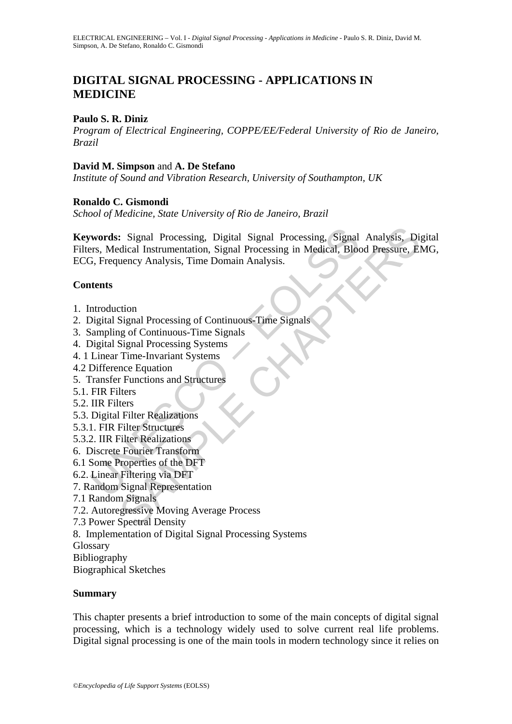# **DIGITAL SIGNAL PROCESSING - APPLICATIONS IN MEDICINE**

### **Paulo S. R. Diniz**

*Program of Electrical Engineering, COPPE/EE/Federal University of Rio de Janeiro, Brazil* 

#### **David M. Simpson** and **A. De Stefano**

*Institute of Sound and Vibration Research, University of Southampton, UK* 

### **Ronaldo C. Gismondi**

*School of Medicine, State University of Rio de Janeiro, Brazil* 

**Example 18 Alternation Control**<br>
Signal Processing, Signal Processing, Signal<br>
From S. Medical Instrumentation, Signal Processing in Medical, Block<br>
1976, Frequency Analysis, Time Domain Analysis.<br> **Alternation**<br>
Signal S : Signal Processing, Digital Signal Processing, Signal Analysis, Di<br>dical Instrumentation, Signal Processing in Medical, Blood Pressure, El<br>uency Analysis, Time Domain Analysis.<br>Signal Processing of Continuous-Time Signals **Keywords:** Signal Processing, Digital Signal Processing, Signal Analysis, Digital Filters, Medical Instrumentation, Signal Processing in Medical, Blood Pressure, EMG, ECG, Frequency Analysis, Time Domain Analysis.

### **Contents**

- 1. Introduction
- 2. Digital Signal Processing of Continuous-Time Signals
- 3. Sampling of Continuous-Time Signals
- 4. Digital Signal Processing Systems
- 4. 1 Linear Time-Invariant Systems
- 4.2 Difference Equation
- 5. Transfer Functions and Structures
- 5.1. FIR Filters
- 5.2. IIR Filters
- 5.3. Digital Filter Realizations
- 5.3.1. FIR Filter Structures
- 5.3.2. IIR Filter Realizations
- 6. Discrete Fourier Transform
- 6.1 Some Properties of the DFT
- 6.2. Linear Filtering via DFT
- 7. Random Signal Representation
- 7.1 Random Signals
- 7.2. Autoregressive Moving Average Process
- 7.3 Power Spectral Density
- 8. Implementation of Digital Signal Processing Systems
- Glossary
- Bibliography
- Biographical Sketches

#### **Summary**

This chapter presents a brief introduction to some of the main concepts of digital signal processing, which is a technology widely used to solve current real life problems. Digital signal processing is one of the main tools in modern technology since it relies on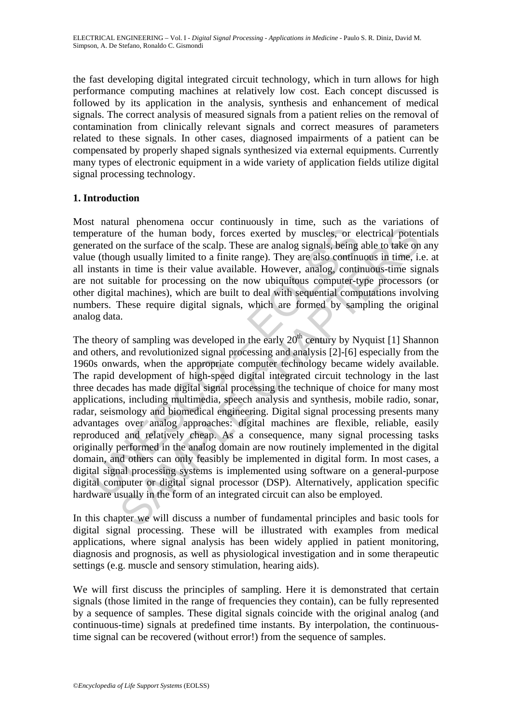the fast developing digital integrated circuit technology, which in turn allows for high performance computing machines at relatively low cost. Each concept discussed is followed by its application in the analysis, synthesis and enhancement of medical signals. The correct analysis of measured signals from a patient relies on the removal of contamination from clinically relevant signals and correct measures of parameters related to these signals. In other cases, diagnosed impairments of a patient can be compensated by properly shaped signals synthesized via external equipments. Currently many types of electronic equipment in a wide variety of application fields utilize digital signal processing technology.

## **1. Introduction**

Most natural phenomena occur continuously in time, such as the variations of temperature of the human body, forces exerted by muscles, or electrical potentials generated on the surface of the scalp. These are analog signals, being able to take on any value (though usually limited to a finite range). They are also continuous in time, i.e. at all instants in time is their value available. However, analog, continuous-time signals are not suitable for processing on the now ubiquitous computer-type processors (or other digital machines), which are built to deal with sequential computations involving numbers. These require digital signals, which are formed by sampling the original analog data.

perature of the human body, forces exerted by muscles, or e<br>perature of the surface of the scalp. These are analog signals, being<br>teated on the surface of the scalp. These are analog signals, being<br>nstants in time is thei is of the human body, forces exerted by muscles, or electrical poten on the surface of the scalp. These are analog signals, being able to take on the surface of the scalp. These are analog signals, being able to take on t The theory of sampling was developed in the early  $20<sup>th</sup>$  century by Nyquist [1] Shannon and others, and revolutionized signal processing and analysis [2]-[6] especially from the 1960s onwards, when the appropriate computer technology became widely available. The rapid development of high-speed digital integrated circuit technology in the last three decades has made digital signal processing the technique of choice for many most applications, including multimedia, speech analysis and synthesis, mobile radio, sonar, radar, seismology and biomedical engineering. Digital signal processing presents many advantages over analog approaches: digital machines are flexible, reliable, easily reproduced and relatively cheap. As a consequence, many signal processing tasks originally performed in the analog domain are now routinely implemented in the digital domain, and others can only feasibly be implemented in digital form. In most cases, a digital signal processing systems is implemented using software on a general-purpose digital computer or digital signal processor (DSP). Alternatively, application specific hardware usually in the form of an integrated circuit can also be employed.

In this chapter we will discuss a number of fundamental principles and basic tools for digital signal processing. These will be illustrated with examples from medical applications, where signal analysis has been widely applied in patient monitoring, diagnosis and prognosis, as well as physiological investigation and in some therapeutic settings (e.g. muscle and sensory stimulation, hearing aids).

We will first discuss the principles of sampling. Here it is demonstrated that certain signals (those limited in the range of frequencies they contain), can be fully represented by a sequence of samples. These digital signals coincide with the original analog (and continuous-time) signals at predefined time instants. By interpolation, the continuoustime signal can be recovered (without error!) from the sequence of samples.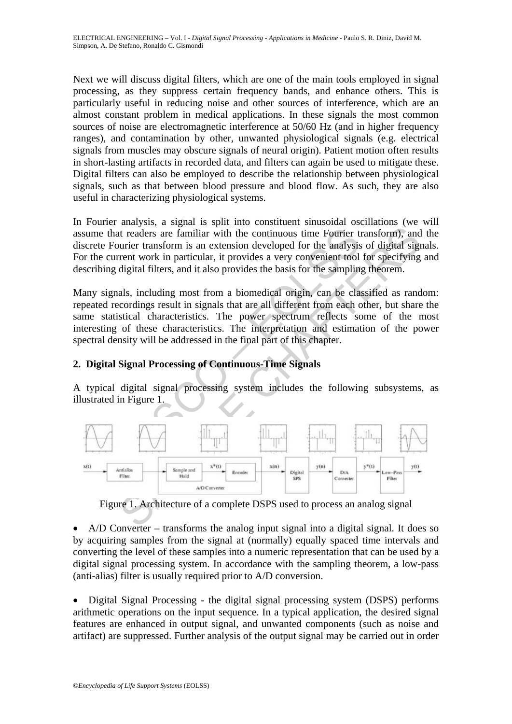Next we will discuss digital filters, which are one of the main tools employed in signal processing, as they suppress certain frequency bands, and enhance others. This is particularly useful in reducing noise and other sources of interference, which are an almost constant problem in medical applications. In these signals the most common sources of noise are electromagnetic interference at 50/60 Hz (and in higher frequency ranges), and contamination by other, unwanted physiological signals (e.g. electrical signals from muscles may obscure signals of neural origin). Patient motion often results in short-lasting artifacts in recorded data, and filters can again be used to mitigate these. Digital filters can also be employed to describe the relationship between physiological signals, such as that between blood pressure and blood flow. As such, they are also useful in characterizing physiological systems.

In Fourier analysis, a signal is split into constituent sinusoidal oscillations (we will assume that readers are familiar with the continuous time Fourier transform), and the discrete Fourier transform is an extension developed for the analysis of digital signals. For the current work in particular, it provides a very convenient tool for specifying and describing digital filters, and it also provides the basis for the sampling theorem.

Many signals, including most from a biomedical origin, can be classified as random: repeated recordings result in signals that are all different from each other, but share the same statistical characteristics. The power spectrum reflects some of the most interesting of these characteristics. The interpretation and estimation of the power spectral density will be addressed in the final part of this chapter.

## **2. Digital Signal Processing of Continuous-Time Signals**

A typical digital signal processing system includes the following subsystems, as illustrated in Figure 1.



Figure 1. Architecture of a complete DSPS used to process an analog signal

• A/D Converter – transforms the analog input signal into a digital signal. It does so by acquiring samples from the signal at (normally) equally spaced time intervals and converting the level of these samples into a numeric representation that can be used by a digital signal processing system. In accordance with the sampling theorem, a low-pass (anti-alias) filter is usually required prior to A/D conversion.

• Digital Signal Processing - the digital signal processing system (DSPS) performs arithmetic operations on the input sequence. In a typical application, the desired signal features are enhanced in output signal, and unwanted components (such as noise and artifact) are suppressed. Further analysis of the output signal may be carried out in order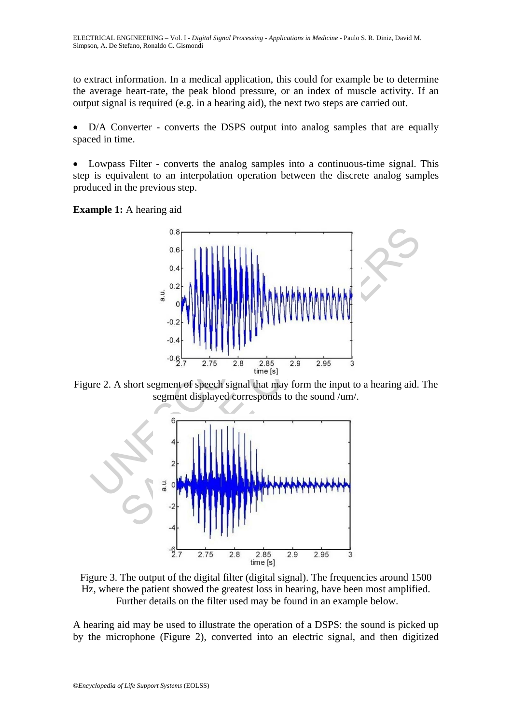to extract information. In a medical application, this could for example be to determine the average heart-rate, the peak blood pressure, or an index of muscle activity. If an output signal is required (e.g. in a hearing aid), the next two steps are carried out.

D/A Converter - converts the DSPS output into analog samples that are equally spaced in time.

• Lowpass Filter - converts the analog samples into a continuous-time signal. This step is equivalent to an interpolation operation between the discrete analog samples produced in the previous step.

**Example 1:** A hearing aid



Figure 2. A short segment of speech signal that may form the input to a hearing aid. The segment displayed corresponds to the sound /um/.



Figure 3. The output of the digital filter (digital signal). The frequencies around 1500 Hz, where the patient showed the greatest loss in hearing, have been most amplified. Further details on the filter used may be found in an example below.

A hearing aid may be used to illustrate the operation of a DSPS: the sound is picked up by the microphone (Figure 2), converted into an electric signal, and then digitized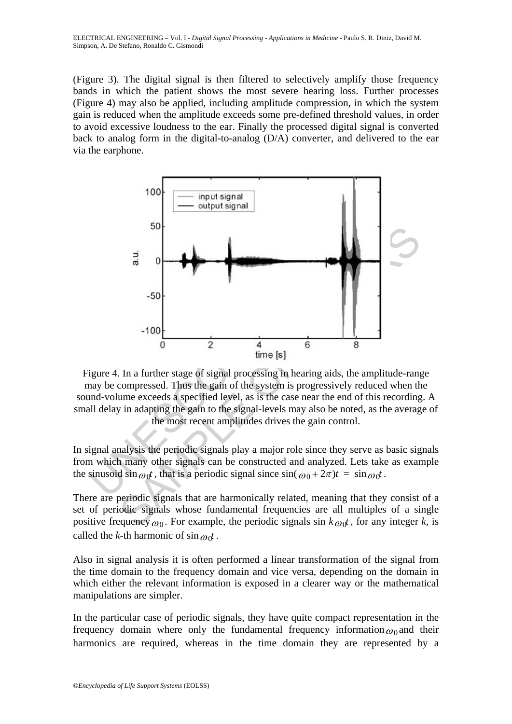ELECTRICAL ENGINEERING – Vol. I - *Digital Signal Processing - Applications in Medicine* - Paulo S. R. Diniz, David M. Simpson, A. De Stefano, Ronaldo C. Gismondi

(Figure 3). The digital signal is then filtered to selectively amplify those frequency bands in which the patient shows the most severe hearing loss. Further processes (Figure 4) may also be applied, including amplitude compression, in which the system gain is reduced when the amplitude exceeds some pre-defined threshold values, in order to avoid excessive loudness to the ear. Finally the processed digital signal is converted back to analog form in the digital-to-analog (D/A) converter, and delivered to the ear via the earphone.



Figure 4. In a further stage of signal processing in hearing aids, the amplitude-range may be compressed. Thus the gain of the system is progressively reduced when the sound-volume exceeds a specified level, as is the case near the end of this recording. A small delay in adapting the gain to the signal-levels may also be noted, as the average of the most recent amplitudes drives the gain control.

In signal analysis the periodic signals play a major role since they serve as basic signals from which many other signals can be constructed and analyzed. Lets take as example the sinusoid sin  $\omega_0 t$ , that is a periodic signal since  $\sin(\omega_0 + 2\pi)t = \sin \omega_0 t$ .

There are periodic signals that are harmonically related, meaning that they consist of a set of periodic signals whose fundamental frequencies are all multiples of a single positive frequency  $\omega_0$ . For example, the periodic signals sin  $k \omega_0 t$ , for any integer k, is called the *k*-th harmonic of  $\sin \omega_0 t$ .

Also in signal analysis it is often performed a linear transformation of the signal from the time domain to the frequency domain and vice versa, depending on the domain in which either the relevant information is exposed in a clearer way or the mathematical manipulations are simpler.

In the particular case of periodic signals, they have quite compact representation in the frequency domain where only the fundamental frequency information  $\omega_0$  and their harmonics are required, whereas in the time domain they are represented by a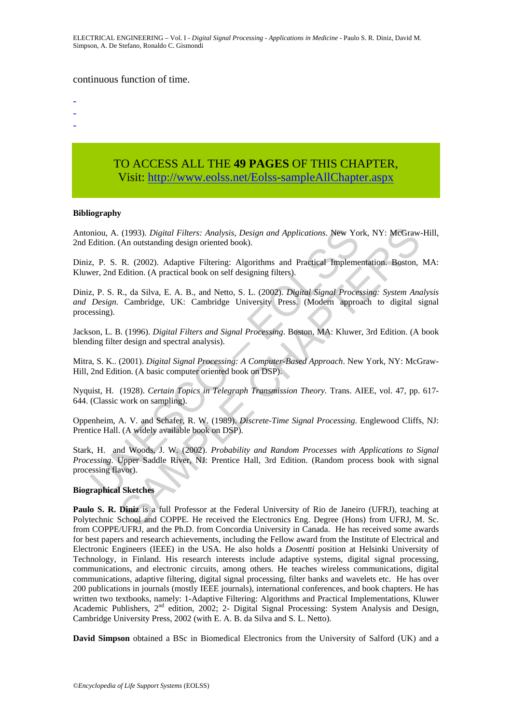ELECTRICAL ENGINEERING – Vol. I - *Digital Signal Processing - Applications in Medicine* - Paulo S. R. Diniz, David M. Simpson, A. De Stefano, Ronaldo C. Gismondi

#### continuous function of time.

-

- -
- TO ACCESS ALL THE **49 PAGES** OF THIS CHAPTER, Visit[: http://www.eolss.net/Eolss-sampleAllChapter.aspx](https://www.eolss.net/ebooklib/sc_cart.aspx?File=E6-39A-02-03)

#### **Bibliography**

Antoniou, A. (1993). *Digital Filters: Analysis, Design and Applications*. New York, NY: McGraw-Hill, 2nd Edition. (An outstanding design oriented book).

Diniz, P. S. R. (2002). Adaptive Filtering: Algorithms and Practical Implementation. Boston, MA: Kluwer, 2nd Edition. (A practical book on self designing filters).

mion, A. (1993). *Digital Filters: Analysis, Design and Applications*. New Yor Edition. (An outstanding design oriented book).<br>
2. P. S. R. (2002). Adaptive Filtering: Algorithms and Practical Implementer. 2nd Edition. (A (1993). *Digital Filters: Analysis, Design and Applications*. New York, NY: McGraw.<br>
(An outstanding design oriented book).<br>
R. (2002). Adaptive Filtering: Algorithms and Practical Implementation. Boston,<br>
R. (2002). Adap Diniz, P. S. R., da Silva, E. A. B., and Netto, S. L. (2002). *Digital Signal Processing: System Analysis and Design*. Cambridge, UK: Cambridge University Press. (Modern approach to digital signal processing).

Jackson, L. B. (1996). *Digital Filters and Signal Processing*. Boston, MA: Kluwer, 3rd Edition. (A book blending filter design and spectral analysis).

Mitra, S. K.. (2001). *Digital Signal Processing: A Computer-Based Approach*. New York, NY: McGraw-Hill, 2nd Edition. (A basic computer oriented book on DSP).

Nyquist, H. (1928). *Certain Topics in Telegraph Transmission Theory.* Trans. AIEE, vol. 47, pp. 617- 644. (Classic work on sampling).

Oppenheim, A. V. and Schafer, R. W. (1989). *Discrete-Time Signal Processing*. Englewood Cliffs, NJ: Prentice Hall. (A widely available book on DSP).

Stark, H. and Woods, J. W. (2002). *Probability and Random Processes with Applications to Signal Processing*. Upper Saddle River, NJ: Prentice Hall, 3rd Edition. (Random process book with signal processing flavor).

#### **Biographical Sketches**

**Paulo S. R. Diniz** is a full Professor at the Federal University of Rio de Janeiro (UFRJ), teaching at Polytechnic School and COPPE. He received the Electronics Eng. Degree (Hons) from UFRJ, M. Sc. from COPPE/UFRJ, and the Ph.D. from Concordia University in Canada. He has received some awards for best papers and research achievements, including the Fellow award from the Institute of Electrical and Electronic Engineers (IEEE) in the USA. He also holds a *Dosentti* position at Helsinki University of Technology, in Finland. His research interests include adaptive systems, digital signal processing, communications, and electronic circuits, among others. He teaches wireless communications, digital communications, adaptive filtering, digital signal processing, filter banks and wavelets etc. He has over 200 publications in journals (mostly IEEE journals), international conferences, and book chapters. He has written two textbooks, namely: 1-Adaptive Filtering: Algorithms and Practical Implementations, Kluwer Academic Publishers, 2nd edition, 2002; 2- Digital Signal Processing: System Analysis and Design, Cambridge University Press, 2002 (with E. A. B. da Silva and S. L. Netto).

**David Simpson** obtained a BSc in Biomedical Electronics from the University of Salford (UK) and a